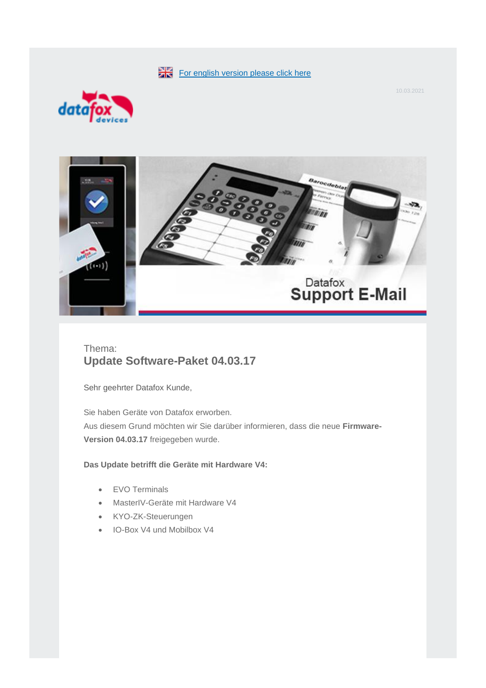[For english version please click here](#page-4-0)



10.03.2021



# Thema: **Update Software-Paket 04.03.17**

Sehr geehrter Datafox Kunde,

Sie haben Geräte von Datafox erworben. Aus diesem Grund möchten wir Sie darüber informieren, dass die neue **Firmware-Version 04.03.17** freigegeben wurde.

## **Das Update betrifft die Geräte mit Hardware V4:**

- EVO Terminals
- MasterIV-Geräte mit Hardware V4
- KYO-ZK-Steuerungen
- IO-Box V4 und Mobilbox V4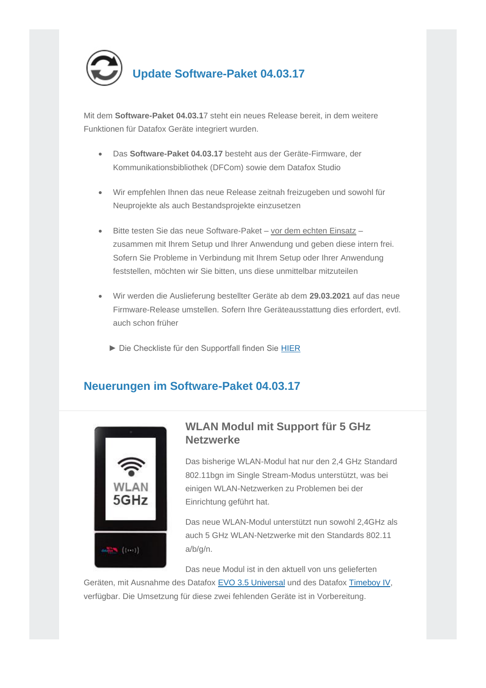

Mit dem **Software-Paket 04.03.1**7 steht ein neues Release bereit, in dem weitere Funktionen für Datafox Geräte integriert wurden.

- Das **Software-Paket 04.03.17** besteht aus der Geräte-Firmware, der Kommunikationsbibliothek (DFCom) sowie dem Datafox Studio
- Wir empfehlen Ihnen das neue Release zeitnah freizugeben und sowohl für Neuprojekte als auch Bestandsprojekte einzusetzen
- Bitte testen Sie das neue Software-Paket vor dem echten Einsatz zusammen mit Ihrem Setup und Ihrer Anwendung und geben diese intern frei. Sofern Sie Probleme in Verbindung mit Ihrem Setup oder Ihrer Anwendung feststellen, möchten wir Sie bitten, uns diese unmittelbar mitzuteilen
- Wir werden die Auslieferung bestellter Geräte ab dem **29.03.2021** auf das neue Firmware-Release umstellen. Sofern Ihre Geräteausstattung dies erfordert, evtl. auch schon früher
	- ► Die Checkliste für den Supportfall finden Sie [HIER](https://swm.datafox.de/link.php?link=00_02_04_2F_10)

# **Neuerungen im Software-Paket 04.03.17**



# **WLAN Modul mit Support für 5 GHz Netzwerke**

Das bisherige WLAN-Modul hat nur den 2,4 GHz Standard 802.11bgn im Single Stream-Modus unterstützt, was bei einigen WLAN-Netzwerken zu Problemen bei der Einrichtung geführt hat.

Das neue WLAN-Modul unterstützt nun sowohl 2,4GHz als auch 5 GHz WLAN-Netzwerke mit den Standards 802.11 a/b/g/n.

Das neue Modul ist in den aktuell von uns gelieferten

Geräten, mit Ausnahme des Datafox [EVO 3.5 Universal](https://swm.datafox.de/link.php?link=00_02_04_2F_11) und des Datafox [Timeboy IV,](https://swm.datafox.de/link.php?link=00_02_04_2F_12) verfügbar. Die Umsetzung für diese zwei fehlenden Geräte ist in Vorbereitung.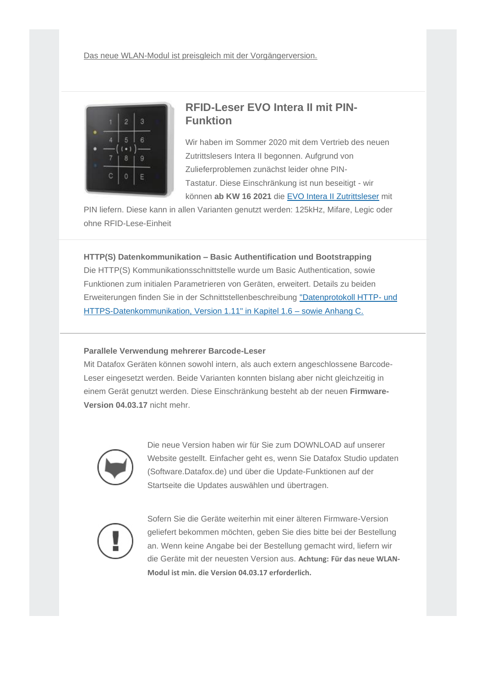

## **RFID-Leser EVO Intera II mit PIN-Funktion**

Wir haben im Sommer 2020 mit dem Vertrieb des neuen Zutrittslesers Intera II begonnen. Aufgrund von Zulieferproblemen zunächst leider ohne PIN-Tastatur. Diese Einschränkung ist nun beseitigt - wir können **ab KW 16 2021** die [EVO Intera II](https://swm.datafox.de/link.php?link=00_02_04_2F_13) Zutrittsleser mit

PIN liefern. Diese kann in allen Varianten genutzt werden: 125kHz, Mifare, Legic oder ohne RFID-Lese-Einheit

## **HTTP(S) Datenkommunikation – Basic Authentification und Bootstrapping**

Die HTTP(S) Kommunikationsschnittstelle wurde um Basic Authentication, sowie Funktionen zum initialen Parametrieren von Geräten, erweitert. Details zu beiden Erweiterungen finden Sie in der Schnittstellenbeschreibung ["Datenprotokoll HTTP-](https://swm.datafox.de/link.php?link=00_02_04_2F_14) und [HTTPS-Datenkommunikation, Version 1.11" in Kapitel 1.6 –](https://swm.datafox.de/link.php?link=00_02_04_2F_14) sowie Anhang C.

### **Parallele Verwendung mehrerer Barcode-Leser**

Mit Datafox Geräten können sowohl intern, als auch extern angeschlossene Barcode-Leser eingesetzt werden. Beide Varianten konnten bislang aber nicht gleichzeitig in einem Gerät genutzt werden. Diese Einschränkung besteht ab der neuen **Firmware-Version 04.03.17** nicht mehr.



Die neue Version haben wir für Sie zum [DOWNLOAD](https://swm.datafox.de/link.php?link=00_02_04_2F_15) auf unserer Website gestellt. Einfacher geht es, wenn Sie Datafox Studio updaten [\(Software.Datafox.de\)](https://swm.datafox.de/link.php?link=00_02_04_2F_16) und über die Update-Funktionen auf der Startseite die Updates auswählen und übertragen.



Sofern Sie die Geräte weiterhin mit einer älteren Firmware-Version geliefert bekommen möchten, geben Sie dies bitte bei der Bestellung an. Wenn keine Angabe bei der Bestellung gemacht wird, liefern wir die Geräte mit der neuesten Version aus. **Achtung: Für das neue WLAN-Modul ist min. die Version 04.03.17 erforderlich.**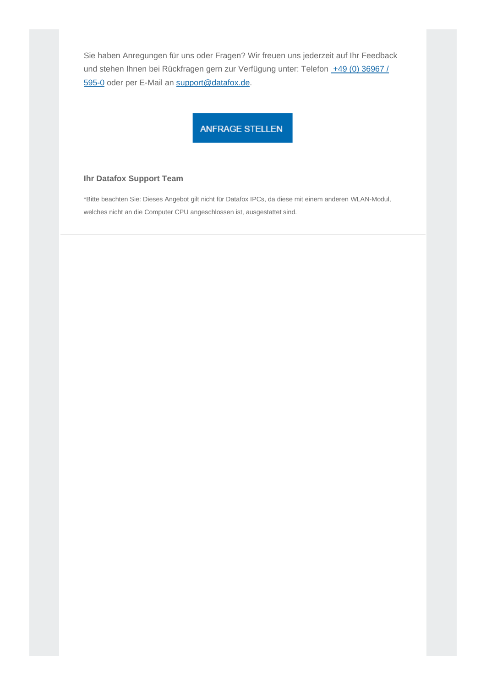Sie haben Anregungen für uns oder Fragen? Wir freuen uns jederzeit auf Ihr Feedback und stehen Ihnen bei Rückfragen gern zur Verfügung unter: Telefon +49 (0) 36967 / [595-0](tel: +49%20(0)%2036967%20/%20595-0) oder per E-Mail an [support@datafox.de.](mailto:support@datafox.de)

## ANFRAGE STELLEN

## **Ihr Datafox Support Team**

\*Bitte beachten Sie: Dieses Angebot gilt nicht für Datafox IPCs, da diese mit einem anderen WLAN-Modul, welches nicht an die Computer CPU angeschlossen ist, ausgestattet sind.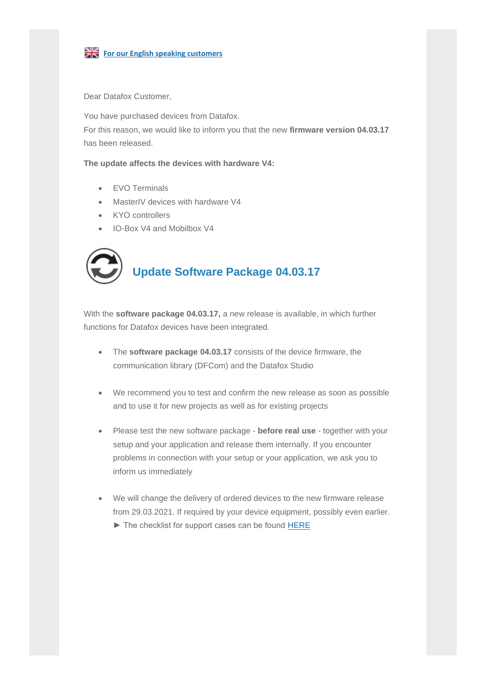

<span id="page-4-0"></span>**For our English speaking customers** 

Dear Datafox Customer,

You have purchased devices from Datafox. For this reason, we would like to inform you that the new **firmware version 04.03.17** has been released.

**The update affects the devices with hardware V4:**

- EVO Terminals
- MasterIV devices with hardware V4
- KYO controllers
- IO-Box V4 and Mobilbox V4



# **Update Software Package 04.03.17**

With the **software package 04.03.17,** a new release is available, in which further functions for Datafox devices have been integrated.

- The **software package 04.03.17** consists of the device firmware, the communication library (DFCom) and the Datafox Studio
- We recommend you to test and confirm the new release as soon as possible and to use it for new projects as well as for existing projects
- Please test the new software package **before real use** together with your setup and your application and release them internally. If you encounter problems in connection with your setup or your application, we ask you to inform us immediately
- We will change the delivery of ordered devices to the new firmware release from 29.03.2021. If required by your device equipment, possibly even earlier. ► The checklist for support cases can be found [HERE](https://swm.datafox.de/link.php?link=00_02_04_2F_17)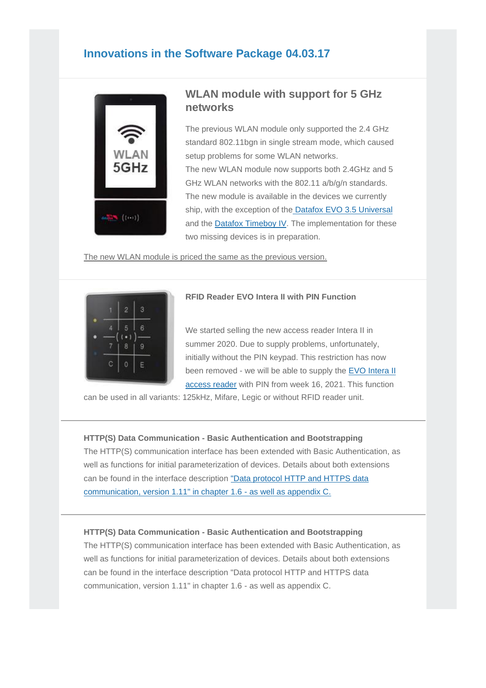## **Innovations in the Software Package 04.03.17**



## **WLAN module with support for 5 GHz networks**

The previous WLAN module only supported the 2.4 GHz standard 802.11bgn in single stream mode, which caused setup problems for some WLAN networks. The new WLAN module now supports both 2.4GHz and 5 GHz WLAN networks with the 802.11 a/b/g/n standards. The new module is available in the devices we currently ship, with the exception of the [Datafox EVO 3.5 Universal](https://swm.datafox.de/link.php?link=00_02_04_2F_11) and the [Datafox Timeboy IV.](https://swm.datafox.de/link.php?link=00_02_04_2F_12) The implementation for these two missing devices is in preparation.

The new WLAN module is priced the same as the previous version.



## **RFID Reader EVO Intera II with PIN Function**

We started selling the new access reader Intera II in summer 2020. Due to supply problems, unfortunately, initially without the PIN keypad. This restriction has now been removed - we will be able to supply the [EVO Intera II](https://swm.datafox.de/link.php?link=00_02_04_2F_13)  [access reader](https://swm.datafox.de/link.php?link=00_02_04_2F_13) with PIN from week 16, 2021. This function

can be used in all variants: 125kHz, Mifare, Legic or without RFID reader unit.

### **HTTP(S) Data Communication - Basic Authentication and Bootstrapping**

The HTTP(S) communication interface has been extended with Basic Authentication, as well as functions for initial parameterization of devices. Details about both extensions can be found in the interface description ["Data protocol HTTP and HTTPS data](https://swm.datafox.de/link.php?link=00_02_04_2F_18)  [communication, version 1.11" in chapter 1.6 -](https://swm.datafox.de/link.php?link=00_02_04_2F_18) as well as appendix C.

### **HTTP(S) Data Communication - Basic Authentication and Bootstrapping**

The HTTP(S) communication interface has been extended with Basic Authentication, as well as functions for initial parameterization of devices. Details about both extensions can be found in the interface description "Data protocol HTTP and HTTPS data communication, version 1.11" in chapter 1.6 - as well as appendix C.